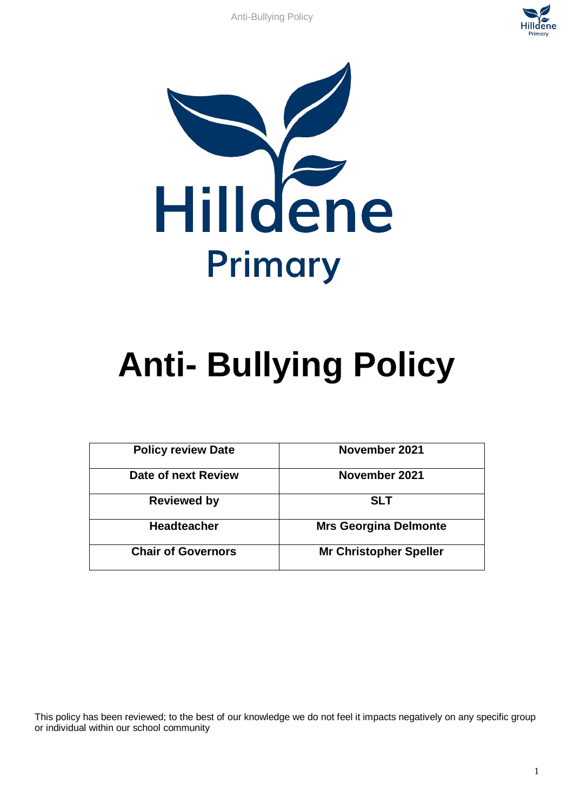



# **Anti- Bullying Policy**

| <b>Policy review Date</b> | November 2021                 |
|---------------------------|-------------------------------|
| Date of next Review       | November 2021                 |
| <b>Reviewed by</b>        | <b>SLT</b>                    |
| <b>Headteacher</b>        | <b>Mrs Georgina Delmonte</b>  |
| <b>Chair of Governors</b> | <b>Mr Christopher Speller</b> |

This policy has been reviewed; to the best of our knowledge we do not feel it impacts negatively on any specific group or individual within our school community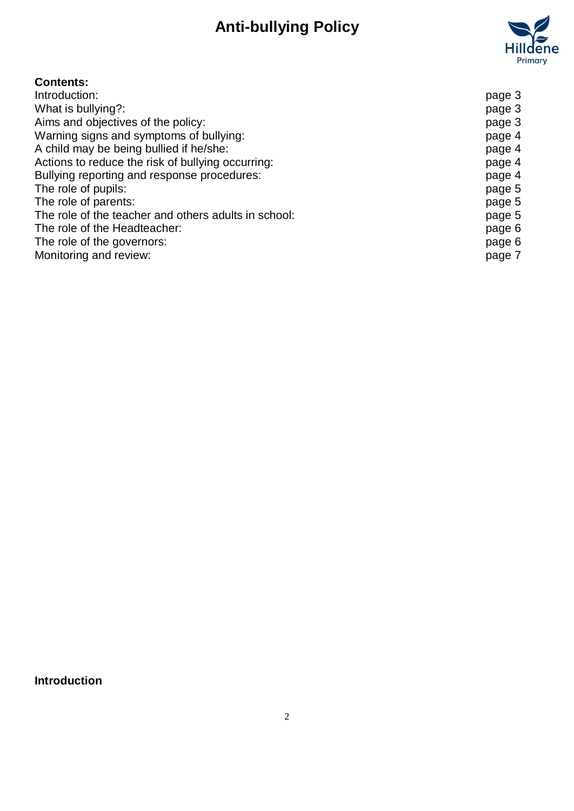

# **Contents:**

| Introduction:                                        | page 3 |
|------------------------------------------------------|--------|
| What is bullying?:                                   | page 3 |
| Aims and objectives of the policy:                   | page 3 |
| Warning signs and symptoms of bullying:              | page 4 |
| A child may be being bullied if he/she:              | page 4 |
| Actions to reduce the risk of bullying occurring:    | page 4 |
| Bullying reporting and response procedures:          | page 4 |
| The role of pupils:                                  | page 5 |
| The role of parents:                                 | page 5 |
| The role of the teacher and others adults in school: | page 5 |
| The role of the Headteacher:                         | page 6 |
| The role of the governors:                           | page 6 |
| Monitoring and review:                               | page 7 |

**Introduction**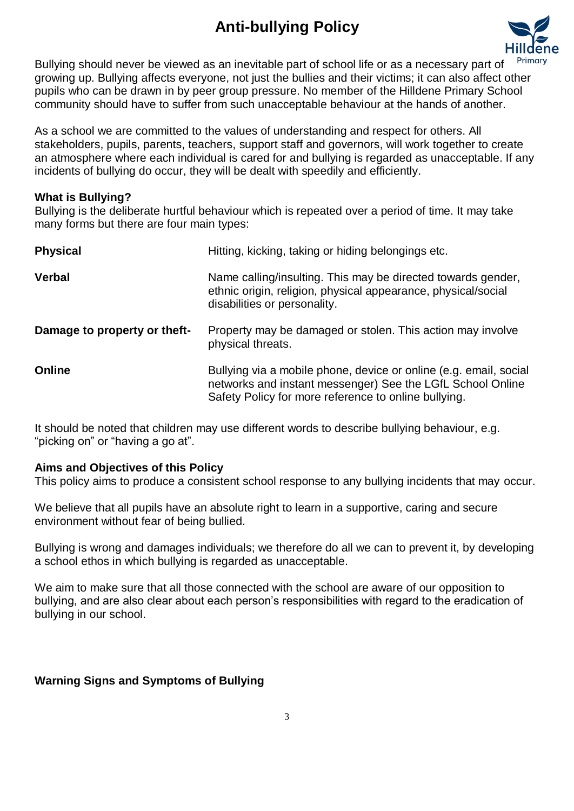

Bullying should never be viewed as an inevitable part of school life or as a necessary part of growing up. Bullying affects everyone, not just the bullies and their victims; it can also affect other pupils who can be drawn in by peer group pressure. No member of the Hilldene Primary School community should have to suffer from such unacceptable behaviour at the hands of another.

As a school we are committed to the values of understanding and respect for others. All stakeholders, pupils, parents, teachers, support staff and governors, will work together to create an atmosphere where each individual is cared for and bullying is regarded as unacceptable. If any incidents of bullying do occur, they will be dealt with speedily and efficiently.

#### **What is Bullying?**

Bullying is the deliberate hurtful behaviour which is repeated over a period of time. It may take many forms but there are four main types:

| <b>Physical</b>              | Hitting, kicking, taking or hiding belongings etc.                                                                                                                                      |
|------------------------------|-----------------------------------------------------------------------------------------------------------------------------------------------------------------------------------------|
| <b>Verbal</b>                | Name calling/insulting. This may be directed towards gender,<br>ethnic origin, religion, physical appearance, physical/social<br>disabilities or personality.                           |
| Damage to property or theft- | Property may be damaged or stolen. This action may involve<br>physical threats.                                                                                                         |
| <b>Online</b>                | Bullying via a mobile phone, device or online (e.g. email, social<br>networks and instant messenger) See the LGfL School Online<br>Safety Policy for more reference to online bullying. |

It should be noted that children may use different words to describe bullying behaviour, e.g. "picking on" or "having a go at".

#### **Aims and Objectives of this Policy**

This policy aims to produce a consistent school response to any bullying incidents that may occur.

We believe that all pupils have an absolute right to learn in a supportive, caring and secure environment without fear of being bullied.

Bullying is wrong and damages individuals; we therefore do all we can to prevent it, by developing a school ethos in which bullying is regarded as unacceptable.

We aim to make sure that all those connected with the school are aware of our opposition to bullying, and are also clear about each person's responsibilities with regard to the eradication of bullying in our school.

### **Warning Signs and Symptoms of Bullying**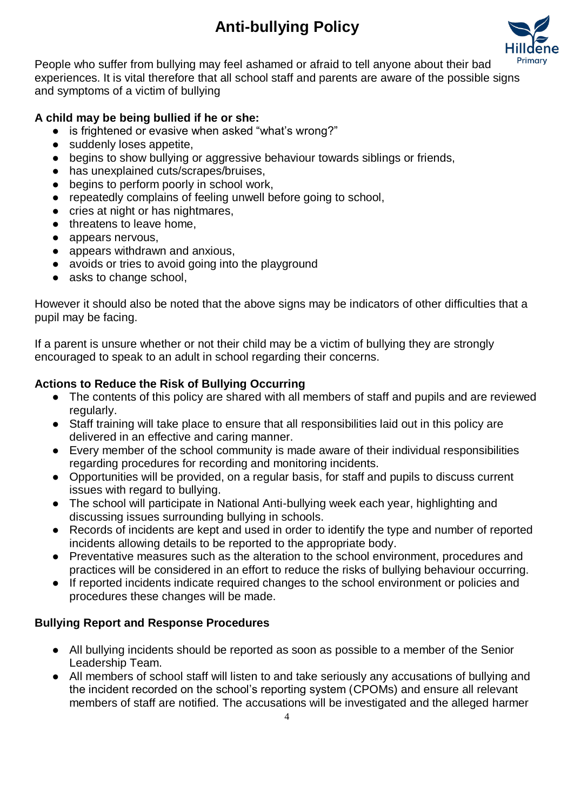

People who suffer from bullying may feel ashamed or afraid to tell anyone about their bad experiences. It is vital therefore that all school staff and parents are aware of the possible signs and symptoms of a victim of bullying

## **A child may be being bullied if he or she:**

- is frightened or evasive when asked "what's wrong?"
- suddenly loses appetite,
- begins to show bullying or aggressive behaviour towards siblings or friends,
- has unexplained cuts/scrapes/bruises,
- begins to perform poorly in school work,
- repeatedly complains of feeling unwell before going to school,
- cries at night or has nightmares,
- threatens to leave home,
- appears nervous.
- appears withdrawn and anxious.
- avoids or tries to avoid going into the playground
- asks to change school,

However it should also be noted that the above signs may be indicators of other difficulties that a pupil may be facing.

If a parent is unsure whether or not their child may be a victim of bullying they are strongly encouraged to speak to an adult in school regarding their concerns.

## **Actions to Reduce the Risk of Bullying Occurring**

- The contents of this policy are shared with all members of staff and pupils and are reviewed regularly.
- Staff training will take place to ensure that all responsibilities laid out in this policy are delivered in an effective and caring manner.
- Every member of the school community is made aware of their individual responsibilities regarding procedures for recording and monitoring incidents.
- Opportunities will be provided, on a regular basis, for staff and pupils to discuss current issues with regard to bullying.
- The school will participate in National Anti-bullying week each year, highlighting and discussing issues surrounding bullying in schools.
- Records of incidents are kept and used in order to identify the type and number of reported incidents allowing details to be reported to the appropriate body.
- Preventative measures such as the alteration to the school environment, procedures and practices will be considered in an effort to reduce the risks of bullying behaviour occurring.
- If reported incidents indicate required changes to the school environment or policies and procedures these changes will be made.

## **Bullying Report and Response Procedures**

- All bullying incidents should be reported as soon as possible to a member of the Senior Leadership Team.
- All members of school staff will listen to and take seriously any accusations of bullying and the incident recorded on the school's reporting system (CPOMs) and ensure all relevant members of staff are notified. The accusations will be investigated and the alleged harmer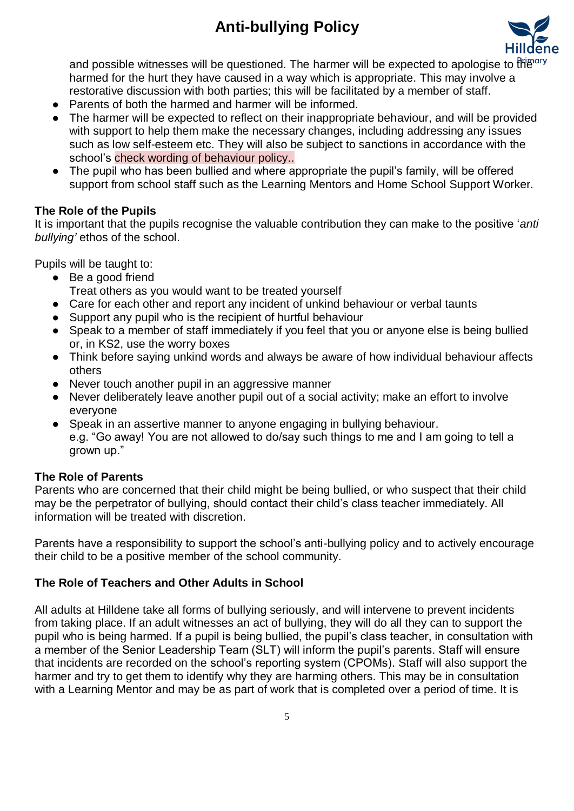

and possible witnesses will be questioned. The harmer will be expected to apologise to the harmed for the hurt they have caused in a way which is appropriate. This may involve a restorative discussion with both parties; this will be facilitated by a member of staff.

- Parents of both the harmed and harmer will be informed.
- The harmer will be expected to reflect on their inappropriate behaviour, and will be provided with support to help them make the necessary changes, including addressing any issues such as low self-esteem etc. They will also be subject to sanctions in accordance with the school's check wording of behaviour policy..
- The pupil who has been bullied and where appropriate the pupil's family, will be offered support from school staff such as the Learning Mentors and Home School Support Worker.

## **The Role of the Pupils**

It is important that the pupils recognise the valuable contribution they can make to the positive '*anti bullying'* ethos of the school.

Pupils will be taught to:

- Be a good friend Treat others as you would want to be treated yourself
- Care for each other and report any incident of unkind behaviour or verbal taunts
- Support any pupil who is the recipient of hurtful behaviour
- Speak to a member of staff immediately if you feel that you or anyone else is being bullied or, in KS2, use the worry boxes
- Think before saying unkind words and always be aware of how individual behaviour affects others
- Never touch another pupil in an aggressive manner
- Never deliberately leave another pupil out of a social activity; make an effort to involve everyone
- Speak in an assertive manner to anyone engaging in bullying behaviour. e.g. "Go away! You are not allowed to do/say such things to me and I am going to tell a grown up."

### **The Role of Parents**

Parents who are concerned that their child might be being bullied, or who suspect that their child may be the perpetrator of bullying, should contact their child's class teacher immediately. All information will be treated with discretion.

Parents have a responsibility to support the school's anti-bullying policy and to actively encourage their child to be a positive member of the school community.

## **The Role of Teachers and Other Adults in School**

All adults at Hilldene take all forms of bullying seriously, and will intervene to prevent incidents from taking place. If an adult witnesses an act of bullying, they will do all they can to support the pupil who is being harmed. If a pupil is being bullied, the pupil's class teacher, in consultation with a member of the Senior Leadership Team (SLT) will inform the pupil's parents. Staff will ensure that incidents are recorded on the school's reporting system (CPOMs). Staff will also support the harmer and try to get them to identify why they are harming others. This may be in consultation with a Learning Mentor and may be as part of work that is completed over a period of time. It is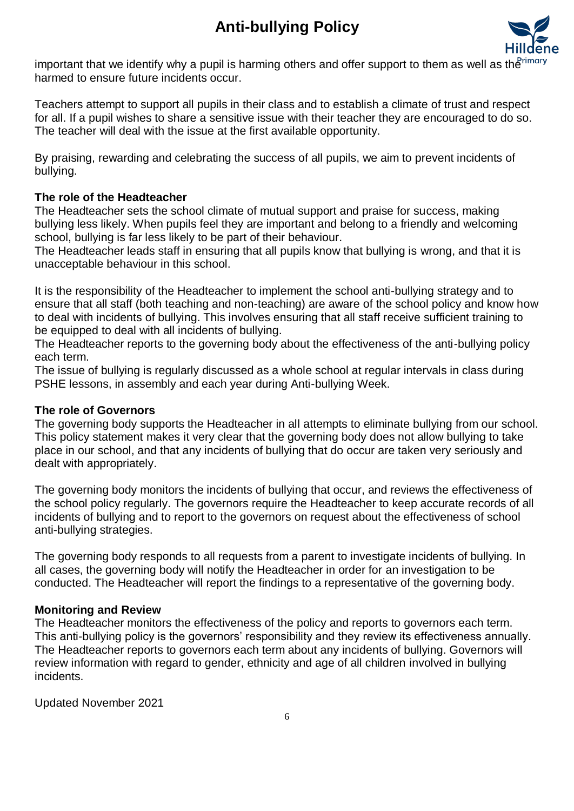

important that we identify why a pupil is harming others and offer support to them as well as the harmed to ensure future incidents occur.

Teachers attempt to support all pupils in their class and to establish a climate of trust and respect for all. If a pupil wishes to share a sensitive issue with their teacher they are encouraged to do so. The teacher will deal with the issue at the first available opportunity.

By praising, rewarding and celebrating the success of all pupils, we aim to prevent incidents of bullying.

## **The role of the Headteacher**

The Headteacher sets the school climate of mutual support and praise for success, making bullying less likely. When pupils feel they are important and belong to a friendly and welcoming school, bullying is far less likely to be part of their behaviour.

The Headteacher leads staff in ensuring that all pupils know that bullying is wrong, and that it is unacceptable behaviour in this school.

It is the responsibility of the Headteacher to implement the school anti-bullying strategy and to ensure that all staff (both teaching and non-teaching) are aware of the school policy and know how to deal with incidents of bullying. This involves ensuring that all staff receive sufficient training to be equipped to deal with all incidents of bullying.

The Headteacher reports to the governing body about the effectiveness of the anti-bullying policy each term.

The issue of bullying is regularly discussed as a whole school at regular intervals in class during PSHE lessons, in assembly and each year during Anti-bullying Week.

### **The role of Governors**

The governing body supports the Headteacher in all attempts to eliminate bullying from our school. This policy statement makes it very clear that the governing body does not allow bullying to take place in our school, and that any incidents of bullying that do occur are taken very seriously and dealt with appropriately.

The governing body monitors the incidents of bullying that occur, and reviews the effectiveness of the school policy regularly. The governors require the Headteacher to keep accurate records of all incidents of bullying and to report to the governors on request about the effectiveness of school anti-bullying strategies.

The governing body responds to all requests from a parent to investigate incidents of bullying. In all cases, the governing body will notify the Headteacher in order for an investigation to be conducted. The Headteacher will report the findings to a representative of the governing body.

### **Monitoring and Review**

The Headteacher monitors the effectiveness of the policy and reports to governors each term. This anti-bullying policy is the governors' responsibility and they review its effectiveness annually. The Headteacher reports to governors each term about any incidents of bullying. Governors will review information with regard to gender, ethnicity and age of all children involved in bullying incidents.

Updated November 2021